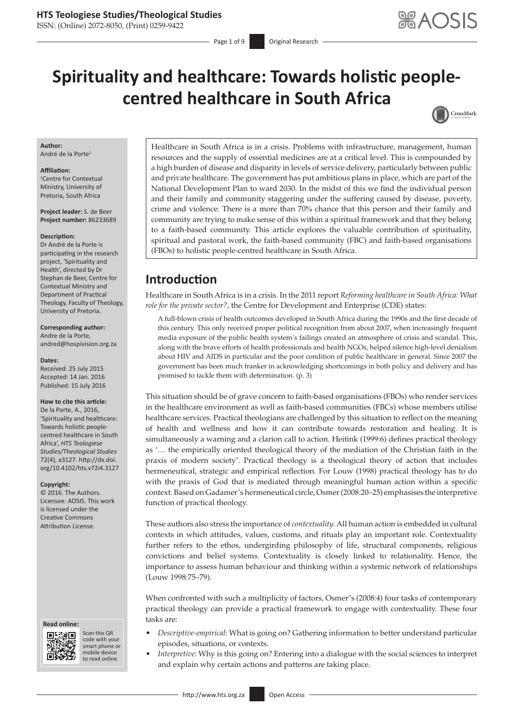ISSN: (Online) 2072-8050, (Print) 0259-9422

# **Spirituality and healthcare: Towards holistic peoplecentred healthcare in South Africa**



### **Author:**

André de la Porte<sup>1</sup>

#### **Affiliation:**

1 Centre for Contextual Ministry, University of Pretoria, South Africa

**Project leader:** S. de Beer **Project number:** 86233689

#### **Description:**

Dr André de la Porte is participating in the research project, 'Spirituality and Health', directed by Dr Stephan de Beer, Centre for Contextual Ministry and Department of Practical Theology, Faculty of Theology, University of Pretoria.

### **Corresponding author:**

Andre de la Porte, [andred@hospivision.org.za](mailto:andred@hospivision.org.za)

**Dates:**

Received: 25 July 2015 Accepted: 14 Jan. 2016 Published: 15 July 2016

### **How to cite this article:**

De la Porte, A., 2016, 'Spirituality and healthcare: Towards holistic peoplecentred healthcare in South Africa', *HTS Teologiese Studies/Theological Studies* 72(4), a3127. [http://dx.doi.](http://dx.doi.org/10.4102/hts.v72i4.3127) [org/10.4102/hts.v72i4.3127](http://dx.doi.org/10.4102/hts.v72i4.3127)

### **Copyright:**

© 2016. The Authors. Licensee: AOSIS. This work is licensed under the Creative Commons Attribution License.

#### **Read online: Read**



Scan this QR Scan this QR<br>code with your smart phone or smart phone or mobile mobile device to read online. to read online.

Healthcare in South Africa is in a crisis. Problems with infrastructure, management, human resources and the supply of essential medicines are at a critical level. This is compounded by a high burden of disease and disparity in levels of service delivery, particularly between public and private healthcare. The government has put ambitious plans in place, which are part of the National Development Plan to ward 2030. In the midst of this we find the individual person and their family and community staggering under the suffering caused by disease, poverty, crime and violence. There is a more than 70% chance that this person and their family and community are trying to make sense of this within a spiritual framework and that they belong to a faith-based community. This article explores the valuable contribution of spirituality, spiritual and pastoral work, the faith-based community (FBC) and faith-based organisations (FBOs) to holistic people-centred healthcare in South Africa.

### **Introduction**

Healthcare in South Africa is in a crisis. In the 2011 report *Reforming healthcare in South Africa: What role for the private sector?,* the Centre for Development and Enterprise (CDE) states:

A full-blown crisis of health outcomes developed in South Africa during the 1990s and the first decade of this century. This only received proper political recognition from about 2007, when increasingly frequent media exposure of the public health system's failings created an atmosphere of crisis and scandal. This, along with the brave efforts of health professionals and health NGOs, helped silence high-level denialism about HIV and AIDS in particular and the poor condition of public healthcare in general. Since 2007 the government has been much franker in acknowledging shortcomings in both policy and delivery and has promised to tackle them with determination. (p. 3)

This situation should be of grave concern to faith-based organisations (FBOs) who render services in the healthcare environment as well as faith-based communities (FBCs) whose members utilise healthcare services. Practical theologians are challenged by this situation to reflect on the meaning of health and wellness and how it can contribute towards restoration and healing. It is simultaneously a warning and a clarion call to action. Heitink (1999:6) defines practical theology as '… the empirically oriented theological theory of the mediation of the Christian faith in the praxis of modern society'. Practical theology is a theological theory of action that includes hermeneutical, strategic and empirical reflection. For Louw (1998) practical theology has to do with the praxis of God that is mediated through meaningful human action within a specific context. Based on Gadamer's hermeneutical circle, Osmer (2008:20–25) emphasises the interpretive function of practical theology.

These authors also stress the importance of *contextuality.* All human action is embedded in cultural contexts in which attitudes, values, customs, and rituals play an important role. Contextuality further refers to the ethos, undergirding philosophy of life, structural components, religious convictions and belief systems. Contextuality is closely linked to relationality. Hence, the importance to assess human behaviour and thinking within a systemic network of relationships (Louw 1998:75–79).

When confronted with such a multiplicity of factors, Osmer's (2008:4) four tasks of contemporary practical theology can provide a practical framework to engage with contextuality. These four tasks are:

- • *Descriptive-empirical*: What is going on? Gathering information to better understand particular episodes, situations, or contexts.
	- *Interpretive*: Why is this going on? Entering into a dialogue with the social sciences to interpret and explain why certain actions and patterns are taking place.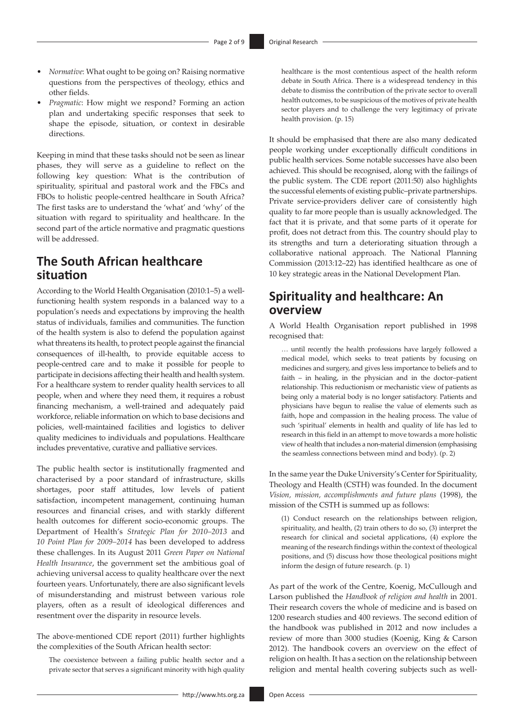- • *Normative*: What ought to be going on? Raising normative questions from the perspectives of theology, ethics and other fields.
- • *Pragmatic*: How might we respond? Forming an action plan and undertaking specific responses that seek to shape the episode, situation, or context in desirable directions.

Keeping in mind that these tasks should not be seen as linear phases, they will serve as a guideline to reflect on the following key question: What is the contribution of spirituality, spiritual and pastoral work and the FBCs and FBOs to holistic people-centred healthcare in South Africa? The first tasks are to understand the 'what' and 'why' of the situation with regard to spirituality and healthcare. In the second part of the article normative and pragmatic questions will be addressed.

# **The South African healthcare situation**

According to the World Health Organisation (2010:1–5) a wellfunctioning health system responds in a balanced way to a population's needs and expectations by improving the health status of individuals, families and communities. The function of the health system is also to defend the population against what threatens its health, to protect people against the financial consequences of ill-health, to provide equitable access to people-centred care and to make it possible for people to participate in decisions affecting their health and health system. For a healthcare system to render quality health services to all people, when and where they need them, it requires a robust financing mechanism, a well-trained and adequately paid workforce, reliable information on which to base decisions and policies, well-maintained facilities and logistics to deliver quality medicines to individuals and populations. Healthcare includes preventative, curative and palliative services.

The public health sector is institutionally fragmented and characterised by a poor standard of infrastructure, skills shortages, poor staff attitudes, low levels of patient satisfaction, incompetent management, continuing human resources and financial crises, and with starkly different health outcomes for different socio-economic groups. The Department of Health's *Strategic Plan for 2010–2013* and *10 Point Plan for 2009–2014* has been developed to address these challenges. In its August 2011 *Green Paper on National Health Insurance*, the government set the ambitious goal of achieving universal access to quality healthcare over the next fourteen years. Unfortunately, there are also significant levels of misunderstanding and mistrust between various role players, often as a result of ideological differences and resentment over the disparity in resource levels.

The above-mentioned CDE report (2011) further highlights the complexities of the South African health sector:

The coexistence between a failing public health sector and a private sector that serves a significant minority with high quality healthcare is the most contentious aspect of the health reform debate in South Africa. There is a widespread tendency in this debate to dismiss the contribution of the private sector to overall health outcomes, to be suspicious of the motives of private health sector players and to challenge the very legitimacy of private health provision. (p. 15)

It should be emphasised that there are also many dedicated people working under exceptionally difficult conditions in public health services. Some notable successes have also been achieved. This should be recognised, along with the failings of the public system. The CDE report (2011:50) also highlights the successful elements of existing public–private partnerships. Private service-providers deliver care of consistently high quality to far more people than is usually acknowledged. The fact that it is private, and that some parts of it operate for profit, does not detract from this. The country should play to its strengths and turn a deteriorating situation through a collaborative national approach. The National Planning Commission (2013:12–22) has identified healthcare as one of 10 key strategic areas in the National Development Plan.

# **Spirituality and healthcare: An overview**

A World Health Organisation report published in 1998 recognised that:

… until recently the health professions have largely followed a medical model, which seeks to treat patients by focusing on medicines and surgery, and gives less importance to beliefs and to faith – in healing, in the physician and in the doctor–patient relationship. This reductionism or mechanistic view of patients as being only a material body is no longer satisfactory. Patients and physicians have begun to realise the value of elements such as faith, hope and compassion in the healing process. The value of such 'spiritual' elements in health and quality of life has led to research in this field in an attempt to move towards a more holistic view of health that includes a non-material dimension (emphasising the seamless connections between mind and body). (p. 2)

In the same year the Duke University's Center for Spirituality, Theology and Health (CSTH) was founded. In the document *Vision, mission, accomplishments and future plans* (1998), the mission of the CSTH is summed up as follows:

(1) Conduct research on the relationships between religion, spirituality, and health, (2) train others to do so, (3) interpret the research for clinical and societal applications, (4) explore the meaning of the research findings within the context of theological positions, and (5) discuss how those theological positions might inform the design of future research. (p. 1)

As part of the work of the Centre, Koenig, McCullough and Larson published the *Handbook of religion and health* in 2001. Their research covers the whole of medicine and is based on 1200 research studies and 400 reviews. The second edition of the handbook was published in 2012 and now includes a review of more than 3000 studies (Koenig, King & Carson 2012). The handbook covers an overview on the effect of religion on health. It has a section on the relationship between religion and mental health covering subjects such as well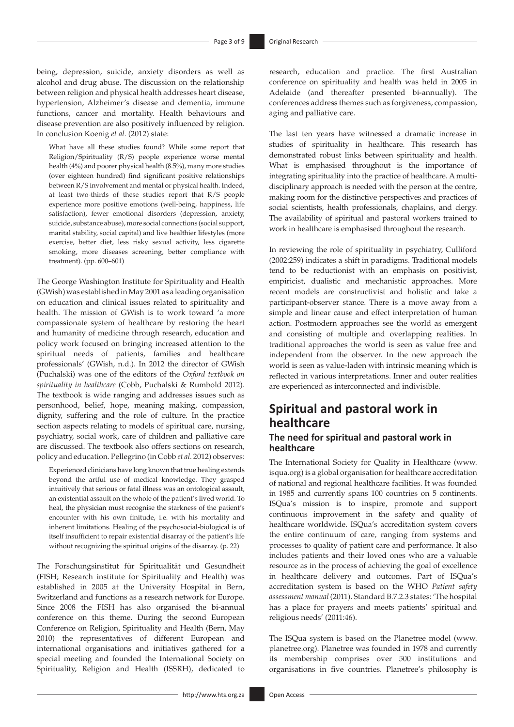being, depression, suicide, anxiety disorders as well as alcohol and drug abuse. The discussion on the relationship between religion and physical health addresses heart disease, hypertension, Alzheimer's disease and dementia, immune functions, cancer and mortality. Health behaviours and disease prevention are also positively influenced by religion. In conclusion Koenig *et al.* (2012) state:

What have all these studies found? While some report that Religion/Spirituality (R/S) people experience worse mental health (4%) and poorer physical health (8.5%), many more studies (over eighteen hundred) find significant positive relationships between R/S involvement and mental or physical health. Indeed, at least two-thirds of these studies report that R/S people experience more positive emotions (well-being, happiness, life satisfaction), fewer emotional disorders (depression, anxiety, suicide, substance abuse), more social connections (social support, marital stability, social capital) and live healthier lifestyles (more exercise, better diet, less risky sexual activity, less cigarette smoking, more diseases screening, better compliance with treatment). (pp. 600–601)

The George Washington Institute for Spirituality and Health (GWish) was established in May 2001 as a leading organisation on education and clinical issues related to spirituality and health. The mission of GWish is to work toward 'a more compassionate system of healthcare by restoring the heart and humanity of medicine through research, education and policy work focused on bringing increased attention to the spiritual needs of patients, families and healthcare professionals' (GWish, n.d.). In 2012 the director of GWish (Puchalski) was one of the editors of the *Oxford textbook on spirituality in healthcare* (Cobb, Puchalski & Rumbold 2012). The textbook is wide ranging and addresses issues such as personhood, belief, hope, meaning making, compassion, dignity, suffering and the role of culture. In the practice section aspects relating to models of spiritual care, nursing, psychiatry, social work, care of children and palliative care are discussed. The textbook also offers sections on research, policy and education. Pellegrino (in Cobb *et al.* 2012) observes:

Experienced clinicians have long known that true healing extends beyond the artful use of medical knowledge. They grasped intuitively that serious or fatal illness was an ontological assault, an existential assault on the whole of the patient's lived world. To heal, the physician must recognise the starkness of the patient's encounter with his own finitude, i.e. with his mortality and inherent limitations. Healing of the psychosocial-biological is of itself insufficient to repair existential disarray of the patient's life without recognizing the spiritual origins of the disarray. (p. 22)

The Forschungsinstitut für Spiritualität und Gesundheit (FISH; Research institute for Spirituality and Health) was established in 2005 at the University Hospital in Bern, Switzerland and functions as a research network for Europe. Since 2008 the FISH has also organised the bi-annual conference on this theme. During the second European Conference on Religion, Spirituality and Health (Bern, May 2010) the representatives of different European and international organisations and initiatives gathered for a special meeting and founded the International Society on Spirituality, Religion and Health (ISSRH), dedicated to

research, education and practice. The first Australian conference on spirituality and health was held in 2005 in Adelaide (and thereafter presented bi-annually). The conferences address themes such as forgiveness, compassion, aging and palliative care.

The last ten years have witnessed a dramatic increase in studies of spirituality in healthcare. This research has demonstrated robust links between spirituality and health. What is emphasised throughout is the importance of integrating spirituality into the practice of healthcare. A multidisciplinary approach is needed with the person at the centre, making room for the distinctive perspectives and practices of social scientists, health professionals, chaplains, and clergy. The availability of spiritual and pastoral workers trained to work in healthcare is emphasised throughout the research.

In reviewing the role of spirituality in psychiatry, Culliford (2002:259) indicates a shift in paradigms. Traditional models tend to be reductionist with an emphasis on positivist, empiricist, dualistic and mechanistic approaches. More recent models are constructivist and holistic and take a participant-observer stance. There is a move away from a simple and linear cause and effect interpretation of human action. Postmodern approaches see the world as emergent and consisting of multiple and overlapping realities. In traditional approaches the world is seen as value free and independent from the observer. In the new approach the world is seen as value-laden with intrinsic meaning which is reflected in various interpretations. Inner and outer realities are experienced as interconnected and indivisible.

### **Spiritual and pastoral work in healthcare The need for spiritual and pastoral work in healthcare**

The International Society for Quality in Healthcare ([www.](www.isqua.org) [isqua.org\)](www.isqua.org) is a global organisation for healthcare accreditation of national and regional healthcare facilities. It was founded in 1985 and currently spans 100 countries on 5 continents. ISQua's mission is to inspire, promote and support continuous improvement in the safety and quality of healthcare worldwide. ISQua's accreditation system covers the entire continuum of care, ranging from systems and processes to quality of patient care and performance. It also includes patients and their loved ones who are a valuable resource as in the process of achieving the goal of excellence in healthcare delivery and outcomes. Part of ISQua's accreditation system is based on the WHO *Patient safety assessment manual* (2011). Standard B.7.2.3 states: 'The hospital has a place for prayers and meets patients' spiritual and religious needs' (2011:46).

The ISQua system is based on the Planetree model ([www.](www.planetree.org) [planetree.org](www.planetree.org)). Planetree was founded in 1978 and currently its membership comprises over 500 institutions and organisations in five countries. Planetree's philosophy is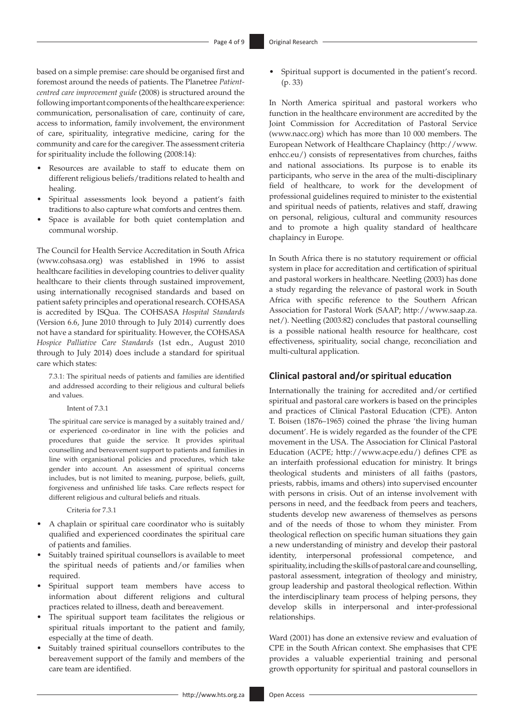based on a simple premise: care should be organised first and foremost around the needs of patients. The Planetree *Patientcentred care improvement guide* (2008) is structured around the following important components of the healthcare experience: communication, personalisation of care, continuity of care, access to information, family involvement, the environment of care, spirituality, integrative medicine, caring for the community and care for the caregiver. The assessment criteria for spirituality include the following (2008:14):

- • Resources are available to staff to educate them on different religious beliefs/traditions related to health and healing.
- Spiritual assessments look beyond a patient's faith traditions to also capture what comforts and centres them.
- Space is available for both quiet contemplation and communal worship.

The Council for Health Service Accreditation in South Africa ([www.cohsasa.org\)](www.cohsasa.org) was established in 1996 to assist healthcare facilities in developing countries to deliver quality healthcare to their clients through sustained improvement, using internationally recognised standards and based on patient safety principles and operational research. COHSASA is accredited by ISQua. The COHSASA *Hospital Standards* (Version 6.6, June 2010 through to July 2014) currently does not have a standard for spirituality. However, the COHSASA *Hospice Palliative Care Standards* (1st edn., August 2010 through to July 2014) does include a standard for spiritual care which states:

7.3.1: The spiritual needs of patients and families are identified and addressed according to their religious and cultural beliefs and values.

#### Intent of 7.3.1

The spiritual care service is managed by a suitably trained and/ or experienced co-ordinator in line with the policies and procedures that guide the service. It provides spiritual counselling and bereavement support to patients and families in line with organisational policies and procedures, which take gender into account. An assessment of spiritual concerns includes, but is not limited to meaning, purpose, beliefs, guilt, forgiveness and unfinished life tasks. Care reflects respect for different religious and cultural beliefs and rituals.

### Criteria for 7.3.1

- A chaplain or spiritual care coordinator who is suitably qualified and experienced coordinates the spiritual care of patients and families.
- Suitably trained spiritual counsellors is available to meet the spiritual needs of patients and/or families when required.
- Spiritual support team members have access to information about different religions and cultural practices related to illness, death and bereavement.
- The spiritual support team facilitates the religious or spiritual rituals important to the patient and family, especially at the time of death.
- Suitably trained spiritual counsellors contributes to the bereavement support of the family and members of the care team are identified.

Spiritual support is documented in the patient's record. (p. 33)

In North America spiritual and pastoral workers who function in the healthcare environment are accredited by the Joint Commission for Accreditation of Pastoral Service (<www.nacc.org>) which has more than 10 000 members. The European Network of Healthcare Chaplaincy [\(http://www.](http://www.enhcc.eu/) [enhcc.eu/](http://www.enhcc.eu/)) consists of representatives from churches, faiths and national associations. Its purpose is to enable its participants, who serve in the area of the multi-disciplinary field of healthcare, to work for the development of professional guidelines required to minister to the existential and spiritual needs of patients, relatives and staff, drawing on personal, religious, cultural and community resources and to promote a high quality standard of healthcare chaplaincy in Europe.

In South Africa there is no statutory requirement or official system in place for accreditation and certification of spiritual and pastoral workers in healthcare. Neetling (2003) has done a study regarding the relevance of pastoral work in South Africa with specific reference to the Southern African Association for Pastoral Work (SAAP; [http://www.saap.za.](http://www.saap.za.net/) [net/\)](http://www.saap.za.net/). Neetling (2003:82) concludes that pastoral counselling is a possible national health resource for healthcare, cost effectiveness, spirituality, social change, reconciliation and multi-cultural application.

### **Clinical pastoral and/or spiritual education**

Internationally the training for accredited and/or certified spiritual and pastoral care workers is based on the principles and practices of Clinical Pastoral Education (CPE). Anton T. Boisen (1876–1965) coined the phrase 'the living human document'. He is widely regarded as the founder of the CPE movement in the USA. The Association for Clinical Pastoral Education (ACPE; <http://www.acpe.edu/>) defines CPE as an interfaith professional education for ministry. It brings theological students and ministers of all faiths (pastors, priests, rabbis, imams and others) into supervised encounter with persons in crisis. Out of an intense involvement with persons in need, and the feedback from peers and teachers, students develop new awareness of themselves as persons and of the needs of those to whom they minister. From theological reflection on specific human situations they gain a new understanding of ministry and develop their pastoral identity, interpersonal professional competence, and spirituality, including the skills of pastoral care and counselling, pastoral assessment, integration of theology and ministry, group leadership and pastoral theological reflection. Within the interdisciplinary team process of helping persons, they develop skills in interpersonal and inter-professional relationships.

Ward (2001) has done an extensive review and evaluation of CPE in the South African context. She emphasises that CPE provides a valuable experiential training and personal growth opportunity for spiritual and pastoral counsellors in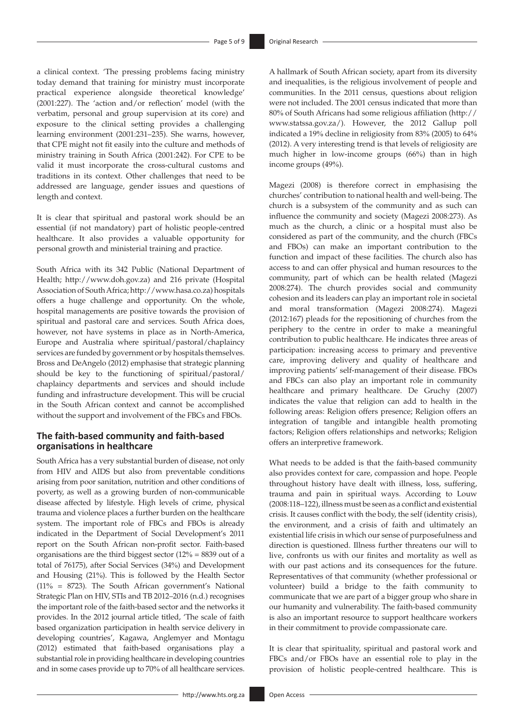a clinical context. 'The pressing problems facing ministry today demand that training for ministry must incorporate practical experience alongside theoretical knowledge' (2001:227). The 'action and/or reflection' model (with the verbatim, personal and group supervision at its core) and exposure to the clinical setting provides a challenging learning environment (2001:231–235). She warns, however, that CPE might not fit easily into the culture and methods of ministry training in South Africa (2001:242). For CPE to be valid it must incorporate the cross-cultural customs and traditions in its context. Other challenges that need to be addressed are language, gender issues and questions of length and context.

It is clear that spiritual and pastoral work should be an essential (if not mandatory) part of holistic people-centred healthcare. It also provides a valuable opportunity for personal growth and ministerial training and practice.

South Africa with its 342 Public (National Department of Health; [http://www.doh.gov.za\)](http://www.doh.gov.za) and 216 private (Hospital Association of South Africa; [http://www.hasa.co.za\)](http://www.hasa.co.za) hospitals offers a huge challenge and opportunity. On the whole, hospital managements are positive towards the provision of spiritual and pastoral care and services. South Africa does, however, not have systems in place as in North-America, Europe and Australia where spiritual/pastoral/chaplaincy services are funded by government or by hospitals themselves. Bross and DeAngelo (2012) emphasise that strategic planning should be key to the functioning of spiritual/pastoral/ chaplaincy departments and services and should include funding and infrastructure development. This will be crucial in the South African context and cannot be accomplished without the support and involvement of the FBCs and FBOs.

### **The faith-based community and faith-based organisations in healthcare**

South Africa has a very substantial burden of disease, not only from HIV and AIDS but also from preventable conditions arising from poor sanitation, nutrition and other conditions of poverty, as well as a growing burden of non-communicable disease affected by lifestyle. High levels of crime, physical trauma and violence places a further burden on the healthcare system. The important role of FBCs and FBOs is already indicated in the Department of Social Development's 2011 report on the South African non-profit sector. Faith-based organisations are the third biggest sector (12% = 8839 out of a total of 76175), after Social Services (34%) and Development and Housing (21%). This is followed by the Health Sector (11% = 8723). The South African government's National Strategic Plan on HIV, STIs and TB 2012–2016 (n.d.) recognises the important role of the faith-based sector and the networks it provides. In the 2012 journal article titled, 'The scale of faith based organization participation in health service delivery in developing countries', Kagawa, Anglemyer and Montagu (2012) estimated that faith-based organisations play a substantial role in providing healthcare in developing countries and in some cases provide up to 70% of all healthcare services.

A hallmark of South African society, apart from its diversity and inequalities, is the religious involvement of people and communities. In the 2011 census, questions about religion were not included. The 2001 census indicated that more than 80% of South Africans had some religious affiliation [\(http://](http://www.statssa.gov.za/) [www.statssa.gov.za/](http://www.statssa.gov.za/)). However, the 2012 Gallup poll indicated a 19% decline in religiosity from 83% (2005) to 64% (2012). A very interesting trend is that levels of religiosity are much higher in low-income groups (66%) than in high income groups (49%).

Magezi (2008) is therefore correct in emphasising the churches' contribution to national health and well-being. The church is a subsystem of the community and as such can influence the community and society (Magezi 2008:273). As much as the church, a clinic or a hospital must also be considered as part of the community, and the church (FBCs and FBOs) can make an important contribution to the function and impact of these facilities. The church also has access to and can offer physical and human resources to the community, part of which can be health related (Magezi 2008:274). The church provides social and community cohesion and its leaders can play an important role in societal and moral transformation (Magezi 2008:274). Magezi (2012:167) pleads for the repositioning of churches from the periphery to the centre in order to make a meaningful contribution to public healthcare. He indicates three areas of participation: increasing access to primary and preventive care, improving delivery and quality of healthcare and improving patients' self-management of their disease. FBOs and FBCs can also play an important role in community healthcare and primary healthcare. De Gruchy (2007) indicates the value that religion can add to health in the following areas: Religion offers presence; Religion offers an integration of tangible and intangible health promoting factors; Religion offers relationships and networks; Religion offers an interpretive framework.

What needs to be added is that the faith-based community also provides context for care, compassion and hope. People throughout history have dealt with illness, loss, suffering, trauma and pain in spiritual ways. According to Louw (2008:118–122), illness must be seen as a conflict and existential crisis. It causes conflict with the body, the self (identity crisis), the environment, and a crisis of faith and ultimately an existential life crisis in which our sense of purposefulness and direction is questioned. Illness further threatens our will to live, confronts us with our finites and mortality as well as with our past actions and its consequences for the future. Representatives of that community (whether professional or volunteer) build a bridge to the faith community to communicate that we are part of a bigger group who share in our humanity and vulnerability. The faith-based community is also an important resource to support healthcare workers in their commitment to provide compassionate care.

It is clear that spirituality, spiritual and pastoral work and FBCs and/or FBOs have an essential role to play in the provision of holistic people-centred healthcare. This is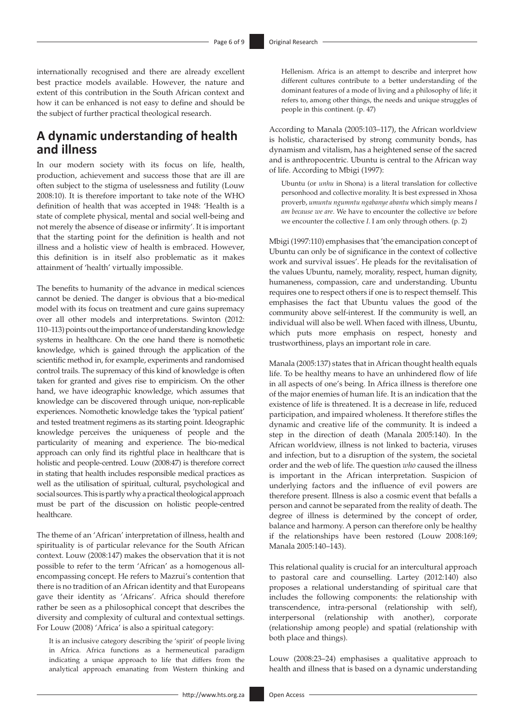internationally recognised and there are already excellent best practice models available. However, the nature and extent of this contribution in the South African context and how it can be enhanced is not easy to define and should be the subject of further practical theological research.

# **A dynamic understanding of health and illness**

In our modern society with its focus on life, health, production, achievement and success those that are ill are often subject to the stigma of uselessness and futility (Louw 2008:10). It is therefore important to take note of the WHO definition of health that was accepted in 1948: 'Health is a state of complete physical, mental and social well-being and not merely the absence of disease or infirmity'. It is important that the starting point for the definition is health and not illness and a holistic view of health is embraced. However, this definition is in itself also problematic as it makes attainment of 'health' virtually impossible.

The benefits to humanity of the advance in medical sciences cannot be denied. The danger is obvious that a bio-medical model with its focus on treatment and cure gains supremacy over all other models and interpretations. Swinton (2012: 110–113) points out the importance of understanding knowledge systems in healthcare. On the one hand there is nomothetic knowledge, which is gained through the application of the scientific method in, for example, experiments and randomised control trails. The supremacy of this kind of knowledge is often taken for granted and gives rise to empiricism. On the other hand, we have ideographic knowledge, which assumes that knowledge can be discovered through unique, non-replicable experiences. Nomothetic knowledge takes the 'typical patient' and tested treatment regimens as its starting point. Ideographic knowledge perceives the uniqueness of people and the particularity of meaning and experience. The bio-medical approach can only find its rightful place in healthcare that is holistic and people-centred. Louw (2008:47) is therefore correct in stating that health includes responsible medical practices as well as the utilisation of spiritual, cultural, psychological and social sources. This is partly why a practical theological approach must be part of the discussion on holistic people-centred healthcare.

The theme of an 'African' interpretation of illness, health and spirituality is of particular relevance for the South African context. Louw (2008:147) makes the observation that it is not possible to refer to the term 'African' as a homogenous allencompassing concept. He refers to Mazrui's contention that there is no tradition of an African identity and that Europeans gave their identity as 'Africans'. Africa should therefore rather be seen as a philosophical concept that describes the diversity and complexity of cultural and contextual settings. For Louw (2008) 'Africa' is also a spiritual category:

It is an inclusive category describing the 'spirit' of people living in Africa. Africa functions as a hermeneutical paradigm indicating a unique approach to life that differs from the analytical approach emanating from Western thinking and Hellenism. Africa is an attempt to describe and interpret how different cultures contribute to a better understanding of the dominant features of a mode of living and a philosophy of life; it refers to, among other things, the needs and unique struggles of people in this continent. (p. 47)

According to Manala (2005:103–117), the African worldview is holistic, characterised by strong community bonds, has dynamism and vitalism, has a heightened sense of the sacred and is anthropocentric. Ubuntu is central to the African way of life. According to Mbigi (1997):

Ubuntu (or *unhu* in Shona) is a literal translation for collective personhood and collective morality. It is best expressed in Xhosa proverb, *umuntu ngumntu ngabanye abantu* which simply means *I am because we are.* We have to encounter the collective *we* before we encounter the collective *I*. I am only through others. (p. 2)

Mbigi (1997:110) emphasises that 'the emancipation concept of Ubuntu can only be of significance in the context of collective work and survival issues'. He pleads for the revitalisation of the values Ubuntu, namely, morality, respect, human dignity, humaneness, compassion, care and understanding. Ubuntu requires one to respect others if one is to respect themself. This emphasises the fact that Ubuntu values the good of the community above self-interest. If the community is well, an individual will also be well. When faced with illness, Ubuntu, which puts more emphasis on respect, honesty and trustworthiness, plays an important role in care.

Manala (2005:137) states that in African thought health equals life. To be healthy means to have an unhindered flow of life in all aspects of one's being. In Africa illness is therefore one of the major enemies of human life. It is an indication that the existence of life is threatened. It is a decrease in life, reduced participation, and impaired wholeness. It therefore stifles the dynamic and creative life of the community. It is indeed a step in the direction of death (Manala 2005:140). In the African worldview, illness is not linked to bacteria, viruses and infection, but to a disruption of the system, the societal order and the web of life. The question *who* caused the illness is important in the African interpretation. Suspicion of underlying factors and the influence of evil powers are therefore present. Illness is also a cosmic event that befalls a person and cannot be separated from the reality of death. The degree of illness is determined by the concept of order, balance and harmony. A person can therefore only be healthy if the relationships have been restored (Louw 2008:169; Manala 2005:140–143).

This relational quality is crucial for an intercultural approach to pastoral care and counselling. Lartey (2012:140) also proposes a relational understanding of spiritual care that includes the following components: the relationship with transcendence, intra-personal (relationship with self), interpersonal (relationship with another), corporate (relationship among people) and spatial (relationship with both place and things).

Louw (2008:23–24) emphasises a qualitative approach to health and illness that is based on a dynamic understanding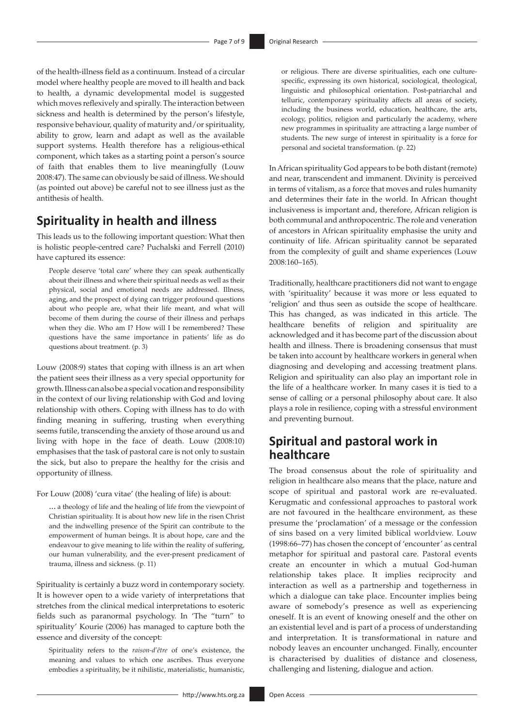of the health-illness field as a continuum. Instead of a circular model where healthy people are moved to ill health and back to health, a dynamic developmental model is suggested which moves reflexively and spirally. The interaction between sickness and health is determined by the person's lifestyle, responsive behaviour, quality of maturity and/or spirituality, ability to grow, learn and adapt as well as the available support systems. Health therefore has a religious-ethical component, which takes as a starting point a person's source of faith that enables them to live meaningfully (Louw 2008:47). The same can obviously be said of illness. We should (as pointed out above) be careful not to see illness just as the antithesis of health.

## **Spirituality in health and illness**

This leads us to the following important question: What then is holistic people-centred care? Puchalski and Ferrell (2010) have captured its essence:

People deserve 'total care' where they can speak authentically about their illness and where their spiritual needs as well as their physical, social and emotional needs are addressed. Illness, aging, and the prospect of dying can trigger profound questions about who people are, what their life meant, and what will become of them during the course of their illness and perhaps when they die. Who am I? How will I be remembered? These questions have the same importance in patients' life as do questions about treatment. (p. 3)

Louw (2008:9) states that coping with illness is an art when the patient sees their illness as a very special opportunity for growth. Illness can also be a special vocation and responsibility in the context of our living relationship with God and loving relationship with others. Coping with illness has to do with finding meaning in suffering, trusting when everything seems futile, transcending the anxiety of those around us and living with hope in the face of death. Louw (2008:10) emphasises that the task of pastoral care is not only to sustain the sick, but also to prepare the healthy for the crisis and opportunity of illness.

For Louw (2008) 'cura vitae' (the healing of life) is about:

**…** a theology of life and the healing of life from the viewpoint of Christian spirituality. It is about how new life in the risen Christ and the indwelling presence of the Spirit can contribute to the empowerment of human beings. It is about hope, care and the endeavour to give meaning to life within the reality of suffering, our human vulnerability, and the ever-present predicament of trauma, illness and sickness. (p. 11)

Spirituality is certainly a buzz word in contemporary society. It is however open to a wide variety of interpretations that stretches from the clinical medical interpretations to esoteric fields such as paranormal psychology. In 'The "turn" to spirituality' Kourie (2006) has managed to capture both the essence and diversity of the concept:

Spirituality refers to the *raison-d'être* of one's existence, the meaning and values to which one ascribes. Thus everyone embodies a spirituality, be it nihilistic, materialistic, humanistic, or religious. There are diverse spiritualities, each one culturespecific, expressing its own historical, sociological, theological, linguistic and philosophical orientation. Post-patriarchal and telluric, contemporary spirituality affects all areas of society, including the business world, education, healthcare, the arts, ecology, politics, religion and particularly the academy, where new programmes in spirituality are attracting a large number of students. The new surge of interest in spirituality is a force for personal and societal transformation. (p. 22)

In African spirituality God appears to be both distant (remote) and near, transcendent and immanent. Divinity is perceived in terms of vitalism, as a force that moves and rules humanity and determines their fate in the world. In African thought inclusiveness is important and, therefore, African religion is both communal and anthropocentric. The role and veneration of ancestors in African spirituality emphasise the unity and continuity of life. African spirituality cannot be separated from the complexity of guilt and shame experiences (Louw 2008:160–165).

Traditionally, healthcare practitioners did not want to engage with 'spirituality' because it was more or less equated to 'religion' and thus seen as outside the scope of healthcare. This has changed, as was indicated in this article. The healthcare benefits of religion and spirituality are acknowledged and it has become part of the discussion about health and illness. There is broadening consensus that must be taken into account by healthcare workers in general when diagnosing and developing and accessing treatment plans. Religion and spirituality can also play an important role in the life of a healthcare worker. In many cases it is tied to a sense of calling or a personal philosophy about care. It also plays a role in resilience, coping with a stressful environment and preventing burnout.

# **Spiritual and pastoral work in healthcare**

The broad consensus about the role of spirituality and religion in healthcare also means that the place, nature and scope of spiritual and pastoral work are re-evaluated. Kerugmatic and confessional approaches to pastoral work are not favoured in the healthcare environment, as these presume the 'proclamation' of a message or the confession of sins based on a very limited biblical worldview. Louw (1998:66–77) has chosen the concept of 'encounter' as central metaphor for spiritual and pastoral care. Pastoral events create an encounter in which a mutual God-human relationship takes place. It implies reciprocity and interaction as well as a partnership and togetherness in which a dialogue can take place. Encounter implies being aware of somebody's presence as well as experiencing oneself. It is an event of knowing oneself and the other on an existential level and is part of a process of understanding and interpretation. It is transformational in nature and nobody leaves an encounter unchanged. Finally, encounter is characterised by dualities of distance and closeness, challenging and listening, dialogue and action.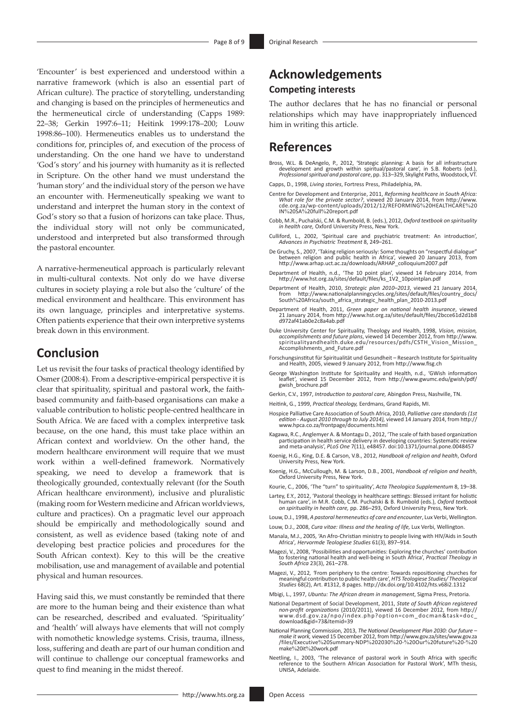'Encounter' is best experienced and understood within a narrative framework (which is also an essential part of African culture). The practice of storytelling, understanding and changing is based on the principles of hermeneutics and the hermeneutical circle of understanding (Capps 1989: 22–38; Gerkin 1997:6–11; Heitink 1999:178–200; Louw 1998:86–100). Hermeneutics enables us to understand the conditions for, principles of, and execution of the process of understanding. On the one hand we have to understand 'God's story' and his journey with humanity as it is reflected in Scripture. On the other hand we must understand the 'human story' and the individual story of the person we have an encounter with. Hermeneutically speaking we want to understand and interpret the human story in the context of God's story so that a fusion of horizons can take place. Thus, the individual story will not only be communicated, understood and interpreted but also transformed through the pastoral encounter.

A narrative-hermeneutical approach is particularly relevant in multi-cultural contexts. Not only do we have diverse cultures in society playing a role but also the 'culture' of the medical environment and healthcare. This environment has its own language, principles and interpretative systems. Often patients experience that their own interpretive systems break down in this environment.

### **Conclusion**

Let us revisit the four tasks of practical theology identified by Osmer (2008:4). From a descriptive-empirical perspective it is clear that spirituality, spiritual and pastoral work, the faithbased community and faith-based organisations can make a valuable contribution to holistic people-centred healthcare in South Africa. We are faced with a complex interpretive task because, on the one hand, this must take place within an African context and worldview. On the other hand, the modern healthcare environment will require that we must work within a well-defined framework. Normatively speaking, we need to develop a framework that is theologically grounded, contextually relevant (for the South African healthcare environment), inclusive and pluralistic (making room for Western medicine and African worldviews, culture and practices). On a pragmatic level our approach should be empirically and methodologically sound and consistent, as well as evidence based (taking note of and developing best practice policies and procedures for the South African context). Key to this will be the creative mobilisation, use and management of available and potential physical and human resources.

Having said this, we must constantly be reminded that there are more to the human being and their existence than what can be researched, described and evaluated. 'Spirituality' and 'health' will always have elements that will not comply with nomothetic knowledge systems. Crisis, trauma, illness, loss, suffering and death are part of our human condition and will continue to challenge our conceptual frameworks and quest to find meaning in the midst thereof.

The author declares that he has no financial or personal relationships which may have inappropriately influenced him in writing this article.

### **References**

- Bross, W.L. & DeAngelo, P., 2012, 'Strategic planning: A basis for all infrastructure development and growth within spiritual/pastoral care', in S.B. Roberts (ed.), *Professional spiritual and pastoral care*, pp. 313–329, Skylight Paths, Woodstock, VT.
- Capps, D., 1998, *Living stories*, Fortress Press, Philadelphia, PA.
- Centre for Development and Enterprise, 2011, *Reforming healthcare in South Africa: What role for the private sector?*, viewed 20 January 2014, from [http://www.](http://www.cde.org.za/wp-content/uploads/2012/12/REFORMING%20HEALTHCARE%20IN%20SA%20full%20report.pdf) [cde.org.za/wp-content/uploads/2012/12/REFORMING](http://www.cde.org.za/wp-content/uploads/2012/12/REFORMING%20HEALTHCARE%20IN%20SA%20full%20report.pdf)%20HEALTHCARE%20 IN%20SA%20full%[20report.pdf](http://www.cde.org.za/wp-content/uploads/2012/12/REFORMING%20HEALTHCARE%20IN%20SA%20full%20report.pdf)
- Cobb, M.R., Puchalski, C.M. & Rumbold, B. (eds.), 2012, *Oxford textbook on spirituality in health care,* Oxford University Press, New York.
- Culliford, L., 2002, 'Spiritual care and psychiatric treatment: An introduction', *Advances in Psychiatric Treatment* 8, 249–261.
- De Gruchy, S., 2007, 'Taking religion seriously: Some thoughts on "respectful dialogue" between religion and public health in Africa', viewed 20 January 2013, from [http://www.arhap.uct.ac.za/downloads/ARHAP\\_colloquium2007.pdf](http://www.arhap.uct.ac.za/downloads/ARHAP_colloquium2007.pdf)
- Department of Health, n.d., 'The 10 point plan', viewed 14 February 2014, from [http://www.hst.org.za/sites/default/files/ks\\_1V2\\_10pointplan.pdf](http://www.hst.org.za/sites/default/files/ks_1V2_10pointplan.pdf)
- Department of Health, 2010, *Strategic plan 2010–2013*, viewed 21 January 2014, from [http://www.nationalplanningcycles.org/sites/default/files/country\\_docs/](http://www.nationalplanningcycles.org/sites/default/files/country_docs/South%20Africa/south_africa_strategic_health_plan_2010-2013.pdf) South%[20Africa/south\\_africa\\_strategic\\_health\\_plan\\_2010-2013.pdf](http://www.nationalplanningcycles.org/sites/default/files/country_docs/South%20Africa/south_africa_strategic_health_plan_2010-2013.pdf)
- Department of Health, 2011, *Green paper on national health insurance*, viewed 21 January 2014, from [http://www.hst.org.za/sites/default/files/2bcce61d2d1b8](http://www.hst.org.za/sites/default/files/2bcce61d2d1b8d972af41ab0e2c8a4ab.pdf) [d972af41ab0e2c8a4ab.pdf](http://www.hst.org.za/sites/default/files/2bcce61d2d1b8d972af41ab0e2c8a4ab.pdf)
- Duke University Center for Spirituality, Theology and Health, 1998, *Vision, mission, accomplishments and future plans*, viewed 14 December 2012, from [http://www.](http://www.spiritualityandhealth.duke.edu/resources/pdfs/CSTH_Vision_Mission_Accomplishments_and_Future.pdf) [spiritualityandhealth.duke.edu/resources/pdfs/CSTH\\_Vision\\_Mission\\_](http://www.spiritualityandhealth.duke.edu/resources/pdfs/CSTH_Vision_Mission_Accomplishments_and_Future.pdf) [Accomplishments\\_and\\_Future.pdf](http://www.spiritualityandhealth.duke.edu/resources/pdfs/CSTH_Vision_Mission_Accomplishments_and_Future.pdf)
- Forschungsinstitut für Spiritualität und Gesundheit Research Institute for Spirituality and Health, 2005, viewed 9 January 2012, from <http://www.fisg.ch>
- George Washington Institute for Spirituality and Health, n.d., 'GWish information leaflet', viewed 15 December 2012, from [http://www.gwumc.edu/gwish/pdf/](http://www.gwumc.edu/gwish/pdf/gwish_brochure.pdf) [gwish\\_brochure.pdf](http://www.gwumc.edu/gwish/pdf/gwish_brochure.pdf)
- Gerkin, C.V., 1997, *Introduction to pastoral care,* Abingdon Press, Nashville, TN.

Heitink, G., 1999, *Practical theology,* Eerdmans, Grand Rapids, MI.

- Hospice Palliative Care Association of South Africa, 2010, *Palliative care standards (1st edition - August 2010 through to July 2014),* viewed 14 January 2014, from [http://](http://www.hpca.co.za/frontpage/documents.html) [www.hpca.co.za/frontpage/documents.html](http://www.hpca.co.za/frontpage/documents.html)
- Kagawa, R.C., Anglemyer A. & Montagu D., 2012, 'The scale of faith based organization<br>participation in health service delivery in developing countries: Systematic review<br>and meta-analysis', PLoS One 7(11), e48457. doi:10.1
- Koenig, H.G., King, D.E. & Carson, V.B., 2012, *Handbook of religion and health*, Oxford University Press, New York.
- Koenig, H.G., McCullough, M. & Larson, D.B., 2001, *Handbook of religion and health*, Oxford University Press, New York.
- Kourie, C., 2006, 'The "turn" to spirituality', *Acta Theologica Supplementum* 8, 19–38.
- Lartey, E.Y., 2012, 'Pastoral theology in healthcare settings: Blessed irritant for holistic human care', in M.R. Cobb, C.M. Puchalski & B. Rumbold (eds.), *Oxford textbook on spirituality in health care,* pp. 286–293, Oxford University Press, New York.
- Louw, D.J., 1998, *A pastoral hermeneutics of care and encounter*, Lux Verbi, Wellington.
- Louw, D.J., 2008, *Cura vitae: Illness and the healing of life,* Lux Verbi, Wellington.
- Manala, M.J., 2005*,* 'An Afro-Christian ministry to people living with HIV/Aids in South Africa'*, Hervormde Teologiese Studies* 61(3), 897–914.
- Magezi, V., 2008, 'Possibilities and opportunities: Exploring the churches' contribution to fostering national health and well-being in South Africa', *Practical Theology in South Africa* 23(3), 261–278.
- Magezi, V., 2012, 'From periphery to the centre: Towards repositioning churches for<br>meaningful contribution to public health care/ HTS Teologiese Studies/ Theological<br>Studies 68(2), Art. #1312, 8 pages. http://dx.doi.org/1
- Mbigi, L., 1997, *Ubuntu: The African dream in management*, Sigma Press, Pretoria.
- National Department of Social Development, 2011, *State of South African registered non-profit organizations* (2010/2011), viewed 16 December 2012, from [http://](http://www.dsd.gov.za/npo/index.php?option=com_docman&task=doc_download&gid=73&Itemid=39) [www.dsd.gov.za/npo/index.php?option=com\\_docman&task=doc\\_](http://www.dsd.gov.za/npo/index.php?option=com_docman&task=doc_download&gid=73&Itemid=39) [download&gid=73&Itemid=39](http://www.dsd.gov.za/npo/index.php?option=com_docman&task=doc_download&gid=73&Itemid=39)
- National Planning Commission, 2013, *The National Development Plan 2030: Our future make it work,* viewed 15 December 2012, from [http://www.gov.za/sites/www.gov.za](http://www.gov.za/sites/www.gov.za /files/Executive%20Summary-NDP%202030%20-%20Our%20future%20-%20make%20it%20work.pdf) /files/Executive%20Summary-NDP%202030%20-%20Our%20future%20-%20 make%20it%20work.pdf
- Neetling, I., 2003, 'The relevance of pastoral work in South Africa with specific reference to the Southern African Association for Pastoral Work', MTh thesis, UNISA, Adelaide.